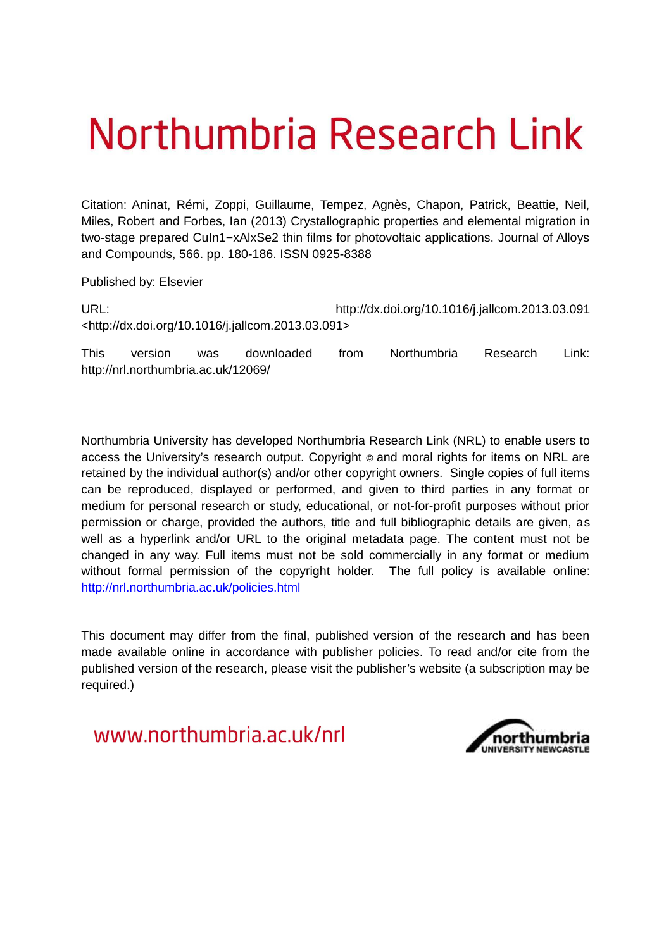# Northumbria Research Link

Citation: Aninat, Rémi, Zoppi, Guillaume, Tempez, Agnès, Chapon, Patrick, Beattie, Neil, Miles, Robert and Forbes, Ian (2013) Crystallographic properties and elemental migration in two-stage prepared CuIn1−xAlxSe2 thin films for photovoltaic applications. Journal of Alloys and Compounds, 566. pp. 180-186. ISSN 0925-8388

Published by: Elsevier

URL: http://dx.doi.org/10.1016/j.jallcom.2013.03.091 <http://dx.doi.org/10.1016/j.jallcom.2013.03.091>

This version was downloaded from Northumbria Research Link: http://nrl.northumbria.ac.uk/12069/

Northumbria University has developed Northumbria Research Link (NRL) to enable users to access the University's research output. Copyright  $\circ$  and moral rights for items on NRL are retained by the individual author(s) and/or other copyright owners. Single copies of full items can be reproduced, displayed or performed, and given to third parties in any format or medium for personal research or study, educational, or not-for-profit purposes without prior permission or charge, provided the authors, title and full bibliographic details are given, as well as a hyperlink and/or URL to the original metadata page. The content must not be changed in any way. Full items must not be sold commercially in any format or medium without formal permission of the copyright holder. The full policy is available online: <http://nrl.northumbria.ac.uk/policies.html>

This document may differ from the final, published version of the research and has been made available online in accordance with publisher policies. To read and/or cite from the published version of the research, please visit the publisher's website (a subscription may be required.)

www.northumbria.ac.uk/nrl

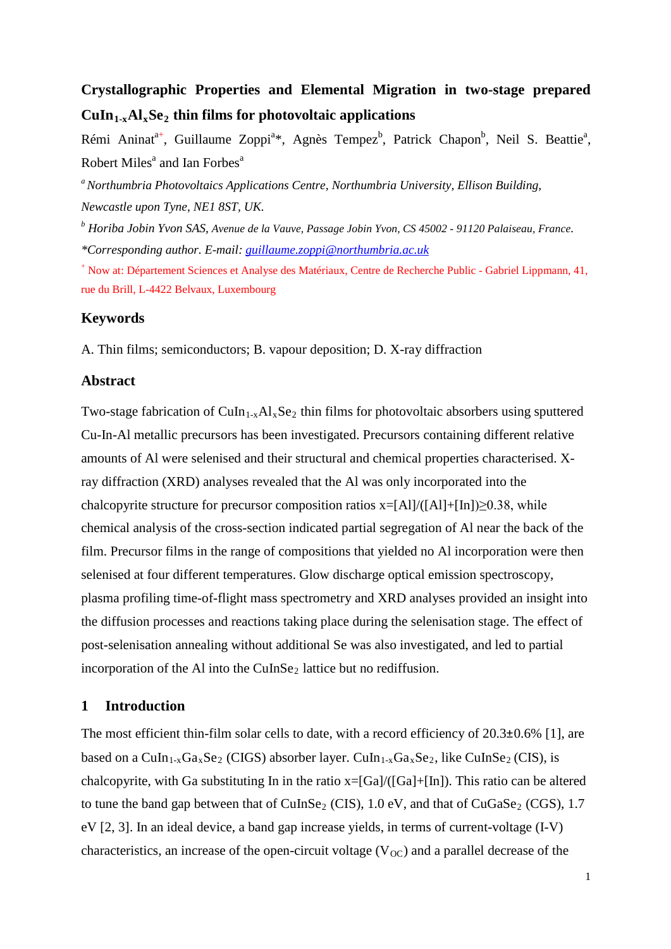# **Crystallographic Properties and Elemental Migration in two-stage prepared**   $\text{CuIn}_{1-x}\text{Al}_x\text{Se}_2$  thin films for photovoltaic applications

Rémi Aninat<sup>a+</sup>, Guillaume Zoppi<sup>a</sup>\*, Agnès Tempez<sup>b</sup>, Patrick Chapon<sup>b</sup>, Neil S. Beattie<sup>a</sup>, Robert Miles<sup>a</sup> and Ian Forbes<sup>a</sup>

*<sup>a</sup>Northumbria Photovoltaics Applications Centre, Northumbria University, Ellison Building, Newcastle upon Tyne, NE1 8ST, UK.*

*b Horiba Jobin Yvon SAS, Avenue de la Vauve, Passage Jobin Yvon, CS 45002 - 91120 Palaiseau, France. \*Corresponding author. E-mail: [guillaume.zoppi@northumbria.ac.uk](mailto:guillaume.zoppi@northumbria.ac.uk)*

<sup>+</sup> Now at: Département Sciences et Analyse des Matériaux, Centre de Recherche Public - Gabriel Lippmann, 41, rue du Brill, L-4422 Belvaux, Luxembourg

# **Keywords**

A. Thin films; semiconductors; B. vapour deposition; D. X-ray diffraction

# **Abstract**

Two-stage fabrication of  $CuIn_{1-x}Al_xSe_2$  thin films for photovoltaic absorbers using sputtered Cu-In-Al metallic precursors has been investigated. Precursors containing different relative amounts of Al were selenised and their structural and chemical properties characterised. Xray diffraction (XRD) analyses revealed that the Al was only incorporated into the chalcopyrite structure for precursor composition ratios  $x=[A1]/([A1]+[In])\geq 0.38$ , while chemical analysis of the cross-section indicated partial segregation of Al near the back of the film. Precursor films in the range of compositions that yielded no Al incorporation were then selenised at four different temperatures. Glow discharge optical emission spectroscopy, plasma profiling time-of-flight mass spectrometry and XRD analyses provided an insight into the diffusion processes and reactions taking place during the selenisation stage. The effect of post-selenisation annealing without additional Se was also investigated, and led to partial incorporation of the Al into the CuInSe<sub>2</sub> lattice but no rediffusion.

# **1 Introduction**

The most efficient thin-film solar cells to date, with a record efficiency of  $20.3\pm0.6\%$  [1], are based on a  $CuIn_{1-x}Ga_xSe_2$  (CIGS) absorber layer.  $CuIn_{1-x}Ga_xSe_2$ , like  $CuInSe_2$  (CIS), is chalcopyrite, with Ga substituting In in the ratio x=[Ga]/([Ga]+[In]). This ratio can be altered to tune the band gap between that of CuInSe<sub>2</sub> (CIS),  $1.0 \text{ eV}$ , and that of CuGaSe<sub>2</sub> (CGS),  $1.7$ eV [2, 3]. In an ideal device, a band gap increase yields, in terms of current-voltage (I-V) characteristics, an increase of the open-circuit voltage  $(V<sub>OC</sub>)$  and a parallel decrease of the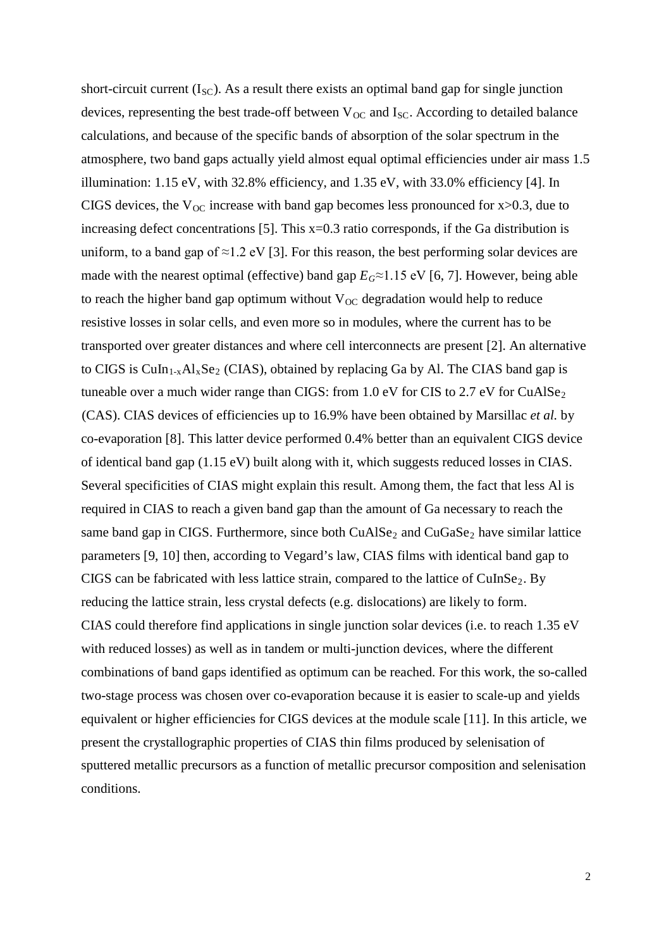<span id="page-2-0"></span>short-circuit current  $(I_{SC})$ . As a result there exists an optimal band gap for single junction devices, representing the best trade-off between  $V_{OC}$  and  $I_{SC}$ . According to detailed balance calculations, and because of the specific bands of absorption of the solar spectrum in the atmosphere, two band gaps actually yield almost equal optimal efficiencies under air mass 1.5 illumination: 1.15 eV, with 32.8% efficiency, and 1.35 eV, with 33.0% efficiency [4]. In CIGS devices, the  $V_{OC}$  increase with band gap becomes less pronounced for x $>0.3$ , due to increasing defect concentrations [5]. This  $x=0.3$  ratio corresponds, if the Ga distribution is uniform, to a band gap of  $\approx$ 1.2 eV [3]. For this reason, the best performing solar devices are made with the nearest optimal (effective) band gap  $E_G \approx 1.15$  eV [6, 7]. However, being able to reach the higher band gap optimum without  $V_{OC}$  degradation would help to reduce resistive losses in solar cells, and even more so in modules, where the current has to be transported over greater distances and where cell interconnects are present [2]. An alternative to CIGS is  $CuIn<sub>1-x</sub>Al<sub>x</sub>Se<sub>2</sub>$  (CIAS), obtained by replacing Ga by Al. The CIAS band gap is tuneable over a much wider range than CIGS: from 1.0 eV for CIS to 2.7 eV for CuAlSe<sub>2</sub> (CAS). CIAS devices of efficiencies up to 16.9% have been obtained by Marsillac *et al.* by co-evaporation [8]. This latter device performed 0.4% better than an equivalent CIGS device of identical band gap (1.15 eV) built along with it, which suggests reduced losses in CIAS. Several specificities of CIAS might explain this result. Among them, the fact that less Al is required in CIAS to reach a given band gap than the amount of Ga necessary to reach the same band gap in CIGS. Furthermore, since both  $CuAlSe<sub>2</sub>$  and  $CuGaSe<sub>2</sub>$  have similar lattice parameters [9, 10] then, according to Vegard's law, CIAS films with identical band gap to CIGS can be fabricated with less lattice strain, compared to the lattice of  $CuInSe<sub>2</sub>$ . By reducing the lattice strain, less crystal defects (e.g. dislocations) are likely to form. CIAS could therefore find applications in single junction solar devices (i.e. to reach 1.35 eV with reduced losses) as well as in tandem or multi-junction devices, where the different combinations of band gaps identified as optimum can be reached. For this work, the so-called two-stage process was chosen over co-evaporation because it is easier to scale-up and yields equivalent or higher efficiencies for CIGS devices at the module scale [11]. In this article, we present the crystallographic properties of CIAS thin films produced by selenisation of sputtered metallic precursors as a function of metallic precursor composition and selenisation conditions.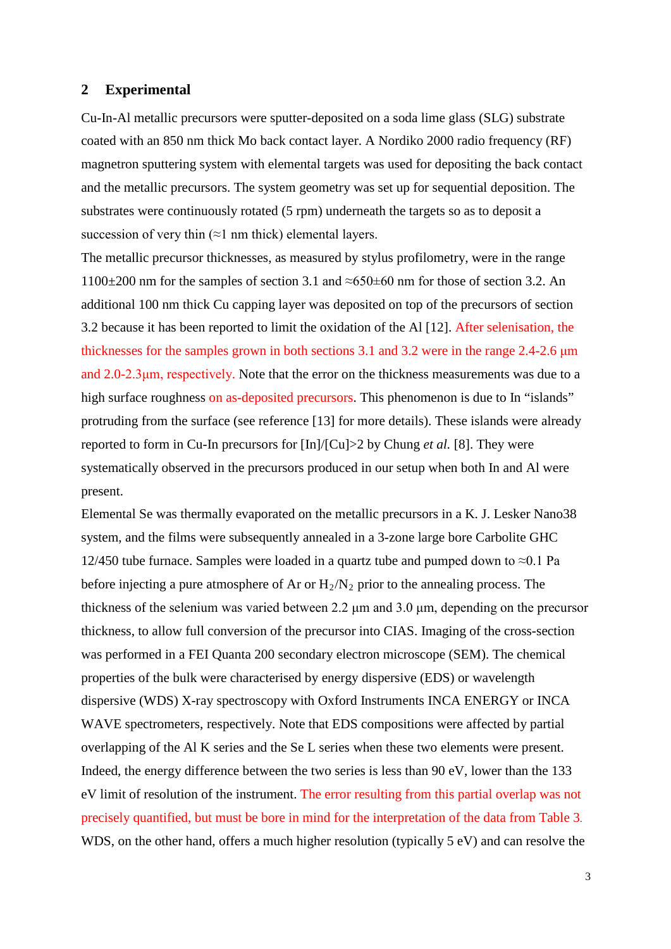# **2 Experimental**

Cu-In-Al metallic precursors were sputter-deposited on a soda lime glass (SLG) substrate coated with an 850 nm thick Mo back contact layer. A Nordiko 2000 radio frequency (RF) magnetron sputtering system with elemental targets was used for depositing the back contact and the metallic precursors. The system geometry was set up for sequential deposition. The substrates were continuously rotated (5 rpm) underneath the targets so as to deposit a succession of very thin  $(\approx 1 \text{ nm thick})$  elemental layers.

The metallic precursor thicknesses, as measured by stylus profilometry, were in the range 1100 $\pm$ 200 nm for the samples of section [3.1](#page-3-0) and ≈650 $\pm$ 60 nm for those of section [3.2.](#page-5-0) An additional 100 nm thick Cu capping layer was deposited on top of the precursors of section [3.2](#page-5-0) because it has been reported to limit the oxidation of the Al [12]. After selenisation, the thicknesses for the samples grown in both sections 3.1 and 3.2 were in the range 2.4-2.6 μm and 2.0-2.3μm, respectively. Note that the error on the thickness measurements was due to a high surface roughness on as-deposited precursors. This phenomenon is due to In "islands" protruding from the surface (see reference [13] for more details). These islands were already reported to form in Cu-In precursors for [In]/[Cu]>2 by Chung *et al.* [8]. They were systematically observed in the precursors produced in our setup when both In and Al were present.

<span id="page-3-0"></span>Elemental Se was thermally evaporated on the metallic precursors in a K. J. Lesker Nano38 system, and the films were subsequently annealed in a 3-zone large bore Carbolite GHC 12/450 tube furnace. Samples were loaded in a quartz tube and pumped down to  $\approx 0.1$  Pa before injecting a pure atmosphere of Ar or  $H_2/N_2$  prior to the annealing process. The thickness of the selenium was varied between 2.2 μm and 3.0 μm, depending on the precursor thickness, to allow full conversion of the precursor into CIAS. Imaging of the cross-section was performed in a FEI Quanta 200 secondary electron microscope (SEM). The chemical properties of the bulk were characterised by energy dispersive (EDS) or wavelength dispersive (WDS) X-ray spectroscopy with Oxford Instruments INCA ENERGY or INCA WAVE spectrometers, respectively. Note that EDS compositions were affected by partial overlapping of the Al K series and the Se L series when these two elements were present. Indeed, the energy difference between the two series is less than 90 eV, lower than the 133 eV limit of resolution of the instrument. The error resulting from this partial overlap was not precisely quantified, but must be bore in mind for the interpretation of the data from Table 3. WDS, on the other hand, offers a much higher resolution (typically 5 eV) and can resolve the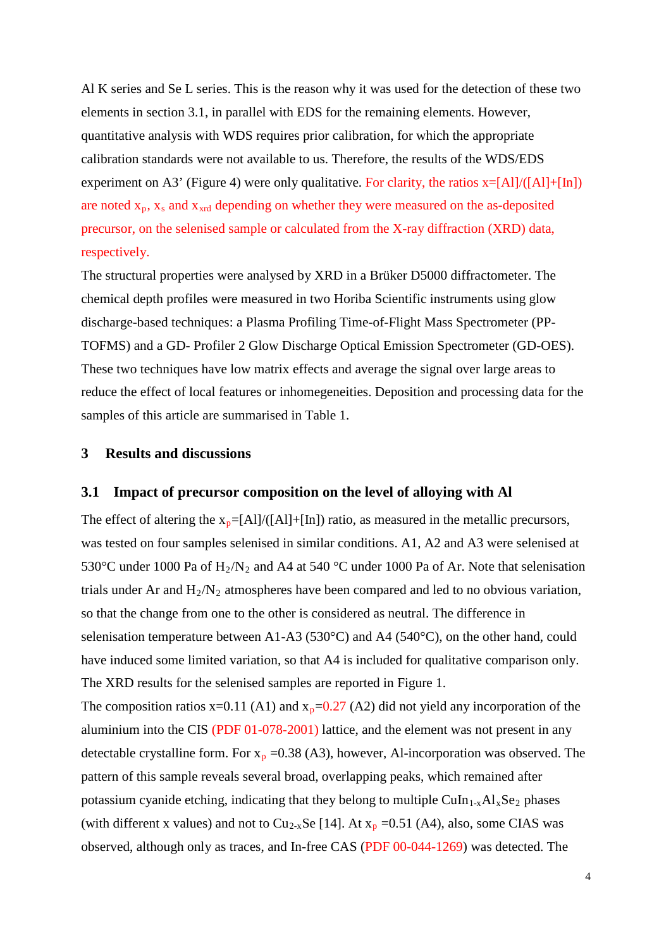Al K series and Se L series. This is the reason why it was used for the detection of these two elements in section [3.1,](#page-3-0) in parallel with EDS for the remaining elements. However, quantitative analysis with WDS requires prior calibration, for which the appropriate calibration standards were not available to us. Therefore, the results of the WDS/EDS experiment on A3' (Figure 4) were only qualitative. For clarity, the ratios  $x=[A1]/([A1]+[In])$ are noted  $x_p$ ,  $x_s$  and  $x_{xrd}$  depending on whether they were measured on the as-deposited precursor, on the selenised sample or calculated from the X-ray diffraction (XRD) data, respectively.

The structural properties were analysed by XRD in a Brüker D5000 diffractometer. The chemical depth profiles were measured in two Horiba Scientific instruments using glow discharge-based techniques: a Plasma Profiling Time-of-Flight Mass Spectrometer (PP-TOFMS) and a GD- Profiler 2 Glow Discharge Optical Emission Spectrometer (GD-OES). These two techniques have low matrix effects and average the signal over large areas to reduce the effect of local features or inhomegeneities. Deposition and processing data for the samples of this article are summarised in Table 1.

### **3 Results and discussions**

#### **3.1 Impact of precursor composition on the level of alloying with Al**

The effect of altering the  $x_p=[A]/([A1]+[In])$  ratio, as measured in the metallic precursors, was tested on four samples selenised in similar conditions. A1, A2 and A3 were selenised at 530°C under 1000 Pa of  $H_2/N_2$  and A4 at 540 °C under 1000 Pa of Ar. Note that selenisation trials under Ar and  $H_2/N_2$  atmospheres have been compared and led to no obvious variation, so that the change from one to the other is considered as neutral. The difference in selenisation temperature between A1-A3 (530°C) and A4 (540°C), on the other hand, could have induced some limited variation, so that A4 is included for qualitative comparison only. The XRD results for the selenised samples are reported in Figure 1.

The composition ratios x=0.11 (A1) and  $x_p=0.27$  (A2) did not yield any incorporation of the aluminium into the CIS (PDF 01-078-2001) lattice, and the element was not present in any detectable crystalline form. For  $x_p = 0.38$  (A3), however, Al-incorporation was observed. The pattern of this sample reveals several broad, overlapping peaks, which remained after potassium cyanide etching, indicating that they belong to multiple  $CuIn<sub>1-x</sub>Al<sub>x</sub>Se<sub>2</sub> phases$ (with different x values) and not to  $Cu_{2-x}Se$  [14]. At  $x_p = 0.51$  (A4), also, some CIAS was observed, although only as traces, and In-free CAS (PDF 00-044-1269) was detected. The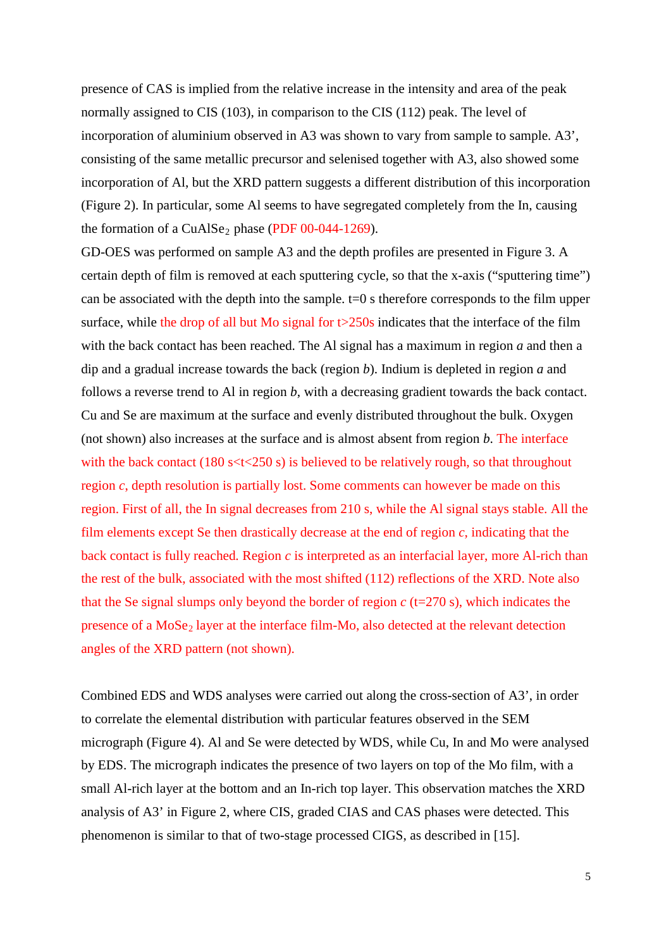presence of CAS is implied from the relative increase in the intensity and area of the peak normally assigned to CIS (103), in comparison to the CIS (112) peak. The level of incorporation of aluminium observed in A3 was shown to vary from sample to sample. A3', consisting of the same metallic precursor and selenised together with A3, also showed some incorporation of Al, but the XRD pattern suggests a different distribution of this incorporation (Figure 2). In particular, some Al seems to have segregated completely from the In, causing the formation of a CuAlSe<sub>2</sub> phase (PDF  $00-044-1269$ ).

<span id="page-5-0"></span>GD-OES was performed on sample A3 and the depth profiles are presented in Figure 3. A certain depth of film is removed at each sputtering cycle, so that the x-axis ("sputtering time") can be associated with the depth into the sample.  $t=0$  s therefore corresponds to the film upper surface, while the drop of all but Mo signal for  $t > 250s$  indicates that the interface of the film with the back contact has been reached. The Al signal has a maximum in region *a* and then a dip and a gradual increase towards the back (region *b*). Indium is depleted in region *a* and follows a reverse trend to Al in region *b*, with a decreasing gradient towards the back contact. Cu and Se are maximum at the surface and evenly distributed throughout the bulk. Oxygen (not shown) also increases at the surface and is almost absent from region *b*. The interface with the back contact (180 s $\lt$ t $\lt$ 250 s) is believed to be relatively rough, so that throughout region *c*, depth resolution is partially lost. Some comments can however be made on this region. First of all, the In signal decreases from 210 s, while the Al signal stays stable. All the film elements except Se then drastically decrease at the end of region *c*, indicating that the back contact is fully reached*.* Region *c* is interpreted as an interfacial layer, more Al-rich than the rest of the bulk, associated with the most shifted (112) reflections of the XRD. Note also that the Se signal slumps only beyond the border of region *c* (t=270 s), which indicates the presence of a  $MoSe<sub>2</sub>$  layer at the interface film-Mo, also detected at the relevant detection angles of the XRD pattern (not shown).

Combined EDS and WDS analyses were carried out along the cross-section of A3', in order to correlate the elemental distribution with particular features observed in the SEM micrograph (Figure 4). Al and Se were detected by WDS, while Cu, In and Mo were analysed by EDS. The micrograph indicates the presence of two layers on top of the Mo film, with a small Al-rich layer at the bottom and an In-rich top layer. This observation matches the XRD analysis of A3' in Figure 2, where CIS, graded CIAS and CAS phases were detected. This phenomenon is similar to that of two-stage processed CIGS, as described in [15].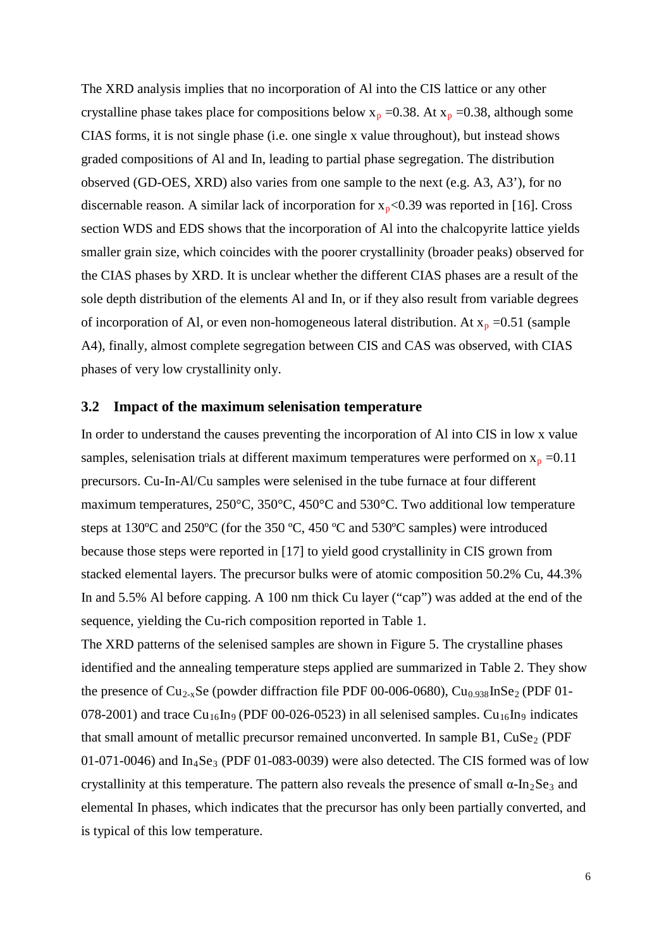The XRD analysis implies that no incorporation of Al into the CIS lattice or any other crystalline phase takes place for compositions below  $x_p = 0.38$ . At  $x_p = 0.38$ , although some CIAS forms, it is not single phase (i.e. one single x value throughout), but instead shows graded compositions of Al and In, leading to partial phase segregation. The distribution observed (GD-OES, XRD) also varies from one sample to the next (e.g. A3, A3'), for no discernable reason. A similar lack of incorporation for  $x_p < 0.39$  was reported in [16]. Cross section WDS and EDS shows that the incorporation of Al into the chalcopyrite lattice yields smaller grain size, which coincides with the poorer crystallinity (broader peaks) observed for the CIAS phases by XRD. It is unclear whether the different CIAS phases are a result of the sole depth distribution of the elements Al and In, or if they also result from variable degrees of incorporation of Al, or even non-homogeneous lateral distribution. At  $x_p = 0.51$  (sample A4), finally, almost complete segregation between CIS and CAS was observed, with CIAS phases of very low crystallinity only.

#### **3.2 Impact of the maximum selenisation temperature**

In order to understand the causes preventing the incorporation of Al into CIS in low x value samples, selenisation trials at different maximum temperatures were performed on  $x_p = 0.11$ precursors. Cu-In-Al/Cu samples were selenised in the tube furnace at four different maximum temperatures, 250°C, 350°C, 450°C and 530°C. Two additional low temperature steps at 130ºC and 250ºC (for the 350 ºC, 450 ºC and 530ºC samples) were introduced because those steps were reported in [17] to yield good crystallinity in CIS grown from stacked elemental layers. The precursor bulks were of atomic composition 50.2% Cu, 44.3% In and 5.5% Al before capping. A 100 nm thick Cu layer ("cap") was added at the end of the sequence, yielding the Cu-rich composition reported in Table 1.

The XRD patterns of the selenised samples are shown in Figure 5. The crystalline phases identified and the annealing temperature steps applied are summarized in Table 2. They show the presence of  $Cu_{2-x}Se$  (powder diffraction file PDF 00-006-0680),  $Cu_{0.938}InSe_2$  (PDF 01-078-2001) and trace  $Cu_{16}In_{9}$  (PDF 00-026-0523) in all selenised samples.  $Cu_{16}In_{9}$  indicates that small amount of metallic precursor remained unconverted. In sample  $B1$ ,  $CuSe<sub>2</sub>$  (PDF 01-071-0046) and  $In_4Se_3$  (PDF 01-083-0039) were also detected. The CIS formed was of low crystallinity at this temperature. The pattern also reveals the presence of small  $\alpha$ -In<sub>2</sub>Se<sub>3</sub> and elemental In phases, which indicates that the precursor has only been partially converted, and is typical of this low temperature.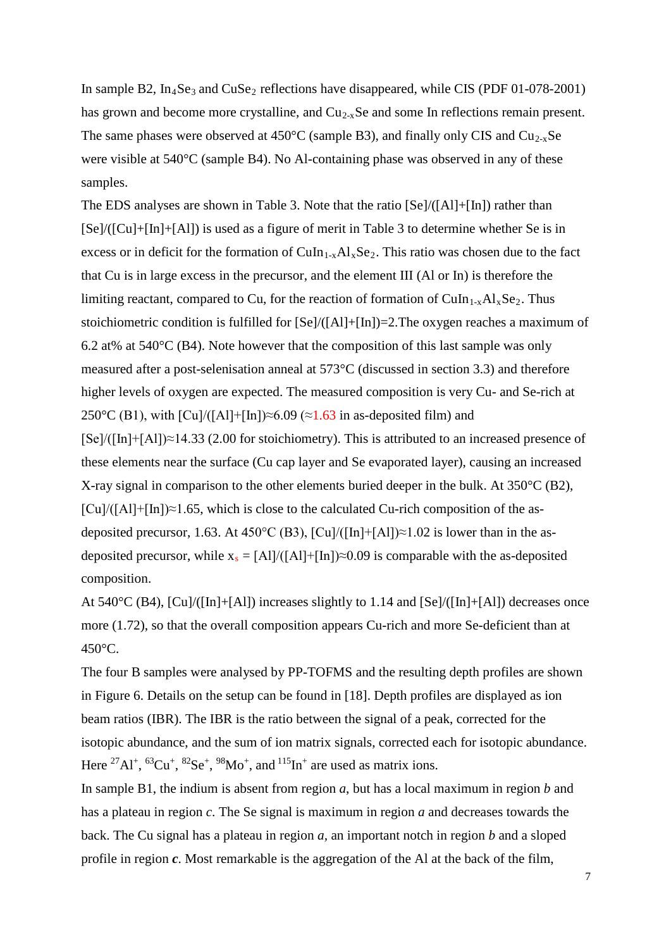In sample B2,  $In_4Se_3$  and  $CuSe_2$  reflections have disappeared, while CIS (PDF 01-078-2001) has grown and become more crystalline, and  $Cu_{2-x}Se$  and some In reflections remain present. The same phases were observed at  $450^{\circ}$ C (sample B3), and finally only CIS and Cu<sub>2-x</sub>Se were visible at 540°C (sample B4). No Al-containing phase was observed in any of these samples.

The EDS analyses are shown in Table 3. Note that the ratio  $\text{[Se]}/(\text{[Al]}+\text{[In]})$  rather than [Se]/([Cu]+[In]+[Al]) is used as a figure of merit in Table 3 to determine whether Se is in excess or in deficit for the formation of  $CuIn<sub>1-x</sub>Al<sub>x</sub>Se<sub>2</sub>$ . This ratio was chosen due to the fact that Cu is in large excess in the precursor, and the element III (Al or In) is therefore the limiting reactant, compared to Cu, for the reaction of formation of CuIn<sub>1-x</sub>Al<sub>x</sub>Se<sub>2</sub>. Thus stoichiometric condition is fulfilled for [Se]/([Al]+[In])=2.The oxygen reaches a maximum of 6.2 at% at 540°C (B4). Note however that the composition of this last sample was only measured after a post-selenisation anneal at 573°C (discussed in section [3.3\)](#page-8-0) and therefore higher levels of oxygen are expected. The measured composition is very Cu- and Se-rich at 250°C (B1), with  $\lceil \text{Cu} \rceil / \lceil \text{Al} \rceil + \lceil \text{In} \rceil \approx 6.09$  (≈1.63 in as-deposited film) and [Se]/([In]+[Al])≈14.33 (2.00 for stoichiometry). This is attributed to an increased presence of these elements near the surface (Cu cap layer and Se evaporated layer), causing an increased X-ray signal in comparison to the other elements buried deeper in the bulk. At 350°C (B2),  $[Cu]/([A1]+[In]) \approx 1.65$ , which is close to the calculated Cu-rich composition of the asdeposited precursor, 1.63. At 450°C (B3),  $\lceil Cu \rceil / (\lceil In \rceil + \lceil A \rceil) \approx 1.02$  is lower than in the asdeposited precursor, while  $x_s = [A1]/([A1]+[In]) \approx 0.09$  is comparable with the as-deposited composition.

At 540°C (B4), [Cu]/([In]+[Al]) increases slightly to 1.14 and [Se]/([In]+[Al]) decreases once more (1.72), so that the overall composition appears Cu-rich and more Se-deficient than at 450°C.

The four B samples were analysed by PP-TOFMS and the resulting depth profiles are shown in Figure 6. Details on the setup can be found in [18]. Depth profiles are displayed as ion beam ratios (IBR). The IBR is the ratio between the signal of a peak, corrected for the isotopic abundance, and the sum of ion matrix signals, corrected each for isotopic abundance. Here <sup>27</sup>Al<sup>+</sup>, <sup>63</sup>Cu<sup>+</sup>, <sup>82</sup>Se<sup>+</sup>, <sup>98</sup>Mo<sup>+</sup>, and <sup>115</sup>In<sup>+</sup> are used as matrix ions.

In sample B1, the indium is absent from region *a*, but has a local maximum in region *b* and has a plateau in region *c*. The Se signal is maximum in region *a* and decreases towards the back. The Cu signal has a plateau in region *a,* an important notch in region *b* and a sloped profile in region *c*. Most remarkable is the aggregation of the Al at the back of the film,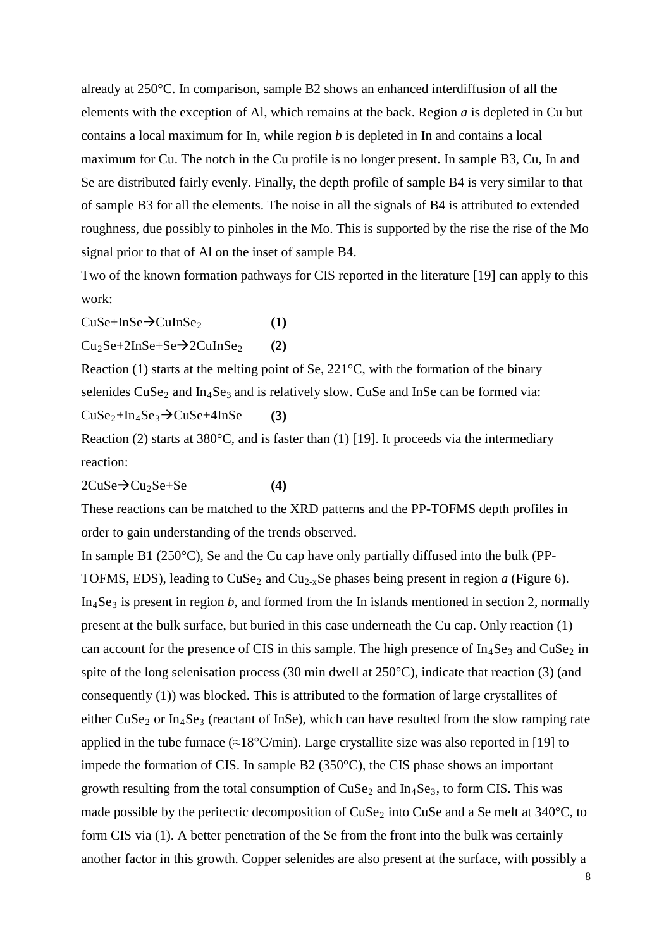already at 250°C. In comparison, sample B2 shows an enhanced interdiffusion of all the elements with the exception of Al, which remains at the back. Region *a* is depleted in Cu but contains a local maximum for In, while region *b* is depleted in In and contains a local maximum for Cu. The notch in the Cu profile is no longer present. In sample B3, Cu, In and Se are distributed fairly evenly. Finally, the depth profile of sample B4 is very similar to that of sample B3 for all the elements. The noise in all the signals of B4 is attributed to extended roughness, due possibly to pinholes in the Mo. This is supported by the rise the rise of the Mo signal prior to that of Al on the inset of sample B4.

Two of the known formation pathways for CIS reported in the literature [19] can apply to this work:

 $CuSe+InSe<sup>2</sup>CuInSe<sub>2</sub>$  (1)

 $Cu<sub>2</sub>Se+2InSe+Se $\rightarrow$ 2CuInSe<sub>2</sub> (2)$ 

Reaction (1) starts at the melting point of Se, 221°C, with the formation of the binary selenides  $CuSe<sub>2</sub>$  and  $In<sub>4</sub>Se<sub>3</sub>$  and is relatively slow. CuSe and InSe can be formed via:  $CuSe<sub>2</sub>+In<sub>4</sub>Se<sub>3</sub> \rightarrow CuSe+4InSe$  (3)

Reaction (2) starts at  $380^{\circ}$ C, and is faster than (1) [19]. It proceeds via the intermediary reaction:

 $2CuSe \rightarrow Cu_2Se + Se$  (4)

These reactions can be matched to the XRD patterns and the PP-TOFMS depth profiles in order to gain understanding of the trends observed.

<span id="page-8-0"></span>In sample B1 ( $250^{\circ}$ C), Se and the Cu cap have only partially diffused into the bulk (PP-TOFMS, EDS), leading to  $CuSe<sub>2</sub>$  and  $Cu<sub>2-x</sub>Se phases being present in region *a* (Figure 6).$  $In_4Se_3$  is present in region *b*, and formed from the In islands mentioned in section [2,](#page-2-0) normally present at the bulk surface, but buried in this case underneath the Cu cap. Only reaction (1) can account for the presence of CIS in this sample. The high presence of  $In_4Se_3$  and  $CuSe_2$  in spite of the long selenisation process (30 min dwell at 250°C), indicate that reaction (3) (and consequently (1)) was blocked. This is attributed to the formation of large crystallites of either  $CuSe<sub>2</sub>$  or  $In<sub>4</sub>Se<sub>3</sub>$  (reactant of InSe), which can have resulted from the slow ramping rate applied in the tube furnace ( $\approx 18^{\circ}$ C/min). Large crystallite size was also reported in [19] to impede the formation of CIS. In sample B2 (350°C), the CIS phase shows an important growth resulting from the total consumption of  $CuSe<sub>2</sub>$  and  $In<sub>4</sub>Se<sub>3</sub>$ , to form CIS. This was made possible by the peritectic decomposition of  $CuSe<sub>2</sub>$  into  $CuSe$  and a Se melt at 340 $°C$ , to form CIS via (1). A better penetration of the Se from the front into the bulk was certainly another factor in this growth. Copper selenides are also present at the surface, with possibly a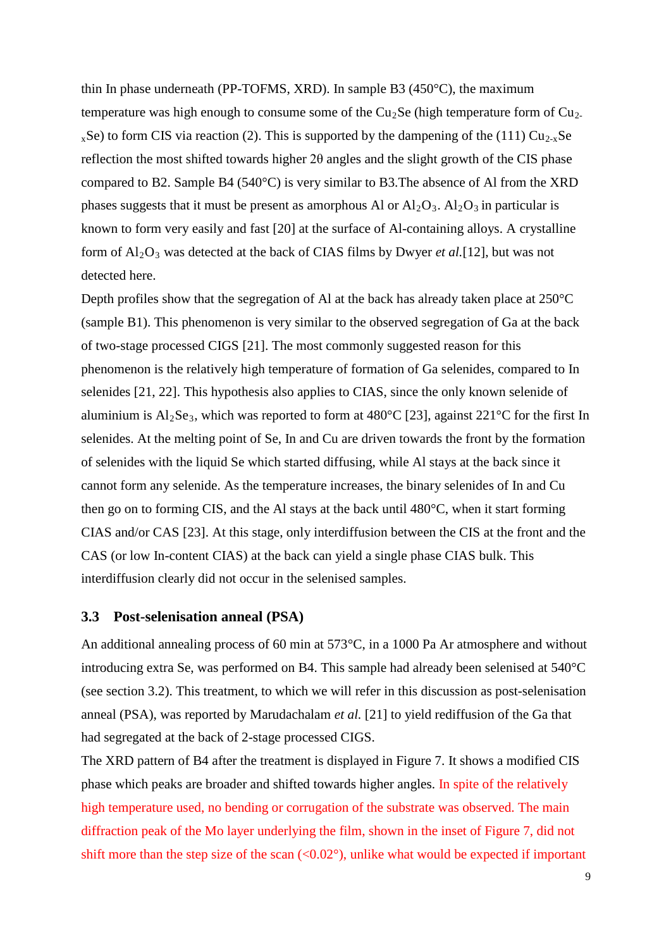thin In phase underneath (PP-TOFMS, XRD). In sample B3 (450°C), the maximum temperature was high enough to consume some of the  $Cu<sub>2</sub>Se$  (high temperature form of  $Cu<sub>2</sub>$  $_{x}$ Se) to form CIS via reaction (2). This is supported by the dampening of the (111) Cu<sub>2-x</sub>Se reflection the most shifted towards higher 2θ angles and the slight growth of the CIS phase compared to B2. Sample B4 (540°C) is very similar to B3.The absence of Al from the XRD phases suggests that it must be present as amorphous Al or  $Al_2O_3$ .  $Al_2O_3$  in particular is known to form very easily and fast [20] at the surface of Al-containing alloys. A crystalline form of Al2O<sup>3</sup> was detected at the back of CIAS films by Dwyer *et al.*[12], but was not detected here.

Depth profiles show that the segregation of Al at the back has already taken place at 250°C (sample B1). This phenomenon is very similar to the observed segregation of Ga at the back of two-stage processed CIGS [21]. The most commonly suggested reason for this phenomenon is the relatively high temperature of formation of Ga selenides, compared to In selenides [21, 22]. This hypothesis also applies to CIAS, since the only known selenide of aluminium is  $Al_2Se_3$ , which was reported to form at 480°C [23], against 221°C for the first In selenides. At the melting point of Se, In and Cu are driven towards the front by the formation of selenides with the liquid Se which started diffusing, while Al stays at the back since it cannot form any selenide. As the temperature increases, the binary selenides of In and Cu then go on to forming CIS, and the Al stays at the back until 480°C, when it start forming CIAS and/or CAS [23]. At this stage, only interdiffusion between the CIS at the front and the CAS (or low In-content CIAS) at the back can yield a single phase CIAS bulk. This interdiffusion clearly did not occur in the selenised samples.

#### **3.3 Post-selenisation anneal (PSA)**

An additional annealing process of 60 min at 573°C, in a 1000 Pa Ar atmosphere and without introducing extra Se, was performed on B4. This sample had already been selenised at 540°C (see section [3.2\)](#page-5-0). This treatment, to which we will refer in this discussion as post-selenisation anneal (PSA), was reported by Marudachalam *et al.* [21] to yield rediffusion of the Ga that had segregated at the back of 2-stage processed CIGS.

The XRD pattern of B4 after the treatment is displayed in Figure 7. It shows a modified CIS phase which peaks are broader and shifted towards higher angles. In spite of the relatively high temperature used, no bending or corrugation of the substrate was observed. The main diffraction peak of the Mo layer underlying the film, shown in the inset of Figure 7, did not shift more than the step size of the scan  $(<0.02^{\circ})$ , unlike what would be expected if important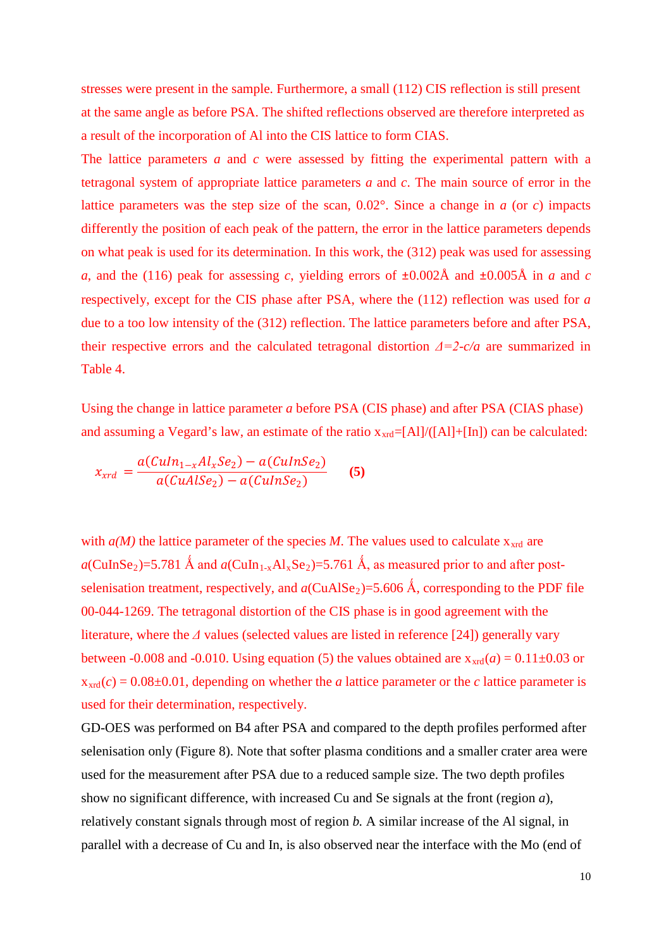stresses were present in the sample. Furthermore, a small (112) CIS reflection is still present at the same angle as before PSA. The shifted reflections observed are therefore interpreted as a result of the incorporation of Al into the CIS lattice to form CIAS.

The lattice parameters *a* and *c* were assessed by fitting the experimental pattern with a tetragonal system of appropriate lattice parameters *a* and *c*. The main source of error in the lattice parameters was the step size of the scan, 0.02°. Since a change in *a* (or *c*) impacts differently the position of each peak of the pattern, the error in the lattice parameters depends on what peak is used for its determination. In this work, the (312) peak was used for assessing *a*, and the (116) peak for assessing *c*, yielding errors of  $\pm 0.002$ Å and  $\pm 0.005$ Å in *a* and *c* respectively, except for the CIS phase after PSA, where the (112) reflection was used for *a*  due to a too low intensity of the (312) reflection. The lattice parameters before and after PSA, their respective errors and the calculated tetragonal distortion *Δ=2-c/a* are summarized in Table 4.

Using the change in lattice parameter *a* before PSA (CIS phase) and after PSA (CIAS phase) and assuming a Vegard's law, an estimate of the ratio  $x_{\text{xd}}=[\text{Al}]/([\text{Al}]+[\text{In}])$  can be calculated:

$$
x_{xrd} = \frac{a(Culn_{1-x}Al_xSe_2) - a(CulnSe_2)}{a(CuAlSe_2) - a(CulnSe_2)} \qquad (5)
$$

with  $a(M)$  the lattice parameter of the species M. The values used to calculate  $x<sub>xtd</sub>$  are  $a$ (CuInSe<sub>2</sub>)=5.781 Å and  $a$ (CuIn<sub>1-x</sub>Al<sub>x</sub>Se<sub>2</sub>)=5.761 Å, as measured prior to and after postselenisation treatment, respectively, and  $a$ (CuAlSe<sub>2</sub>)=5.606 Å, corresponding to the PDF file 00-044-1269. The tetragonal distortion of the CIS phase is in good agreement with the literature, where the *Δ* values (selected values are listed in reference [24]) generally vary between -0.008 and -0.010. Using equation (5) the values obtained are  $x_{\text{xtd}}(a) = 0.11 \pm 0.03$  or  $x<sub>xd</sub>(c) = 0.08\pm0.01$ , depending on whether the *a* lattice parameter or the *c* lattice parameter is used for their determination, respectively.

GD-OES was performed on B4 after PSA and compared to the depth profiles performed after selenisation only (Figure 8). Note that softer plasma conditions and a smaller crater area were used for the measurement after PSA due to a reduced sample size. The two depth profiles show no significant difference, with increased Cu and Se signals at the front (region *a*), relatively constant signals through most of region *b.* A similar increase of the Al signal, in parallel with a decrease of Cu and In, is also observed near the interface with the Mo (end of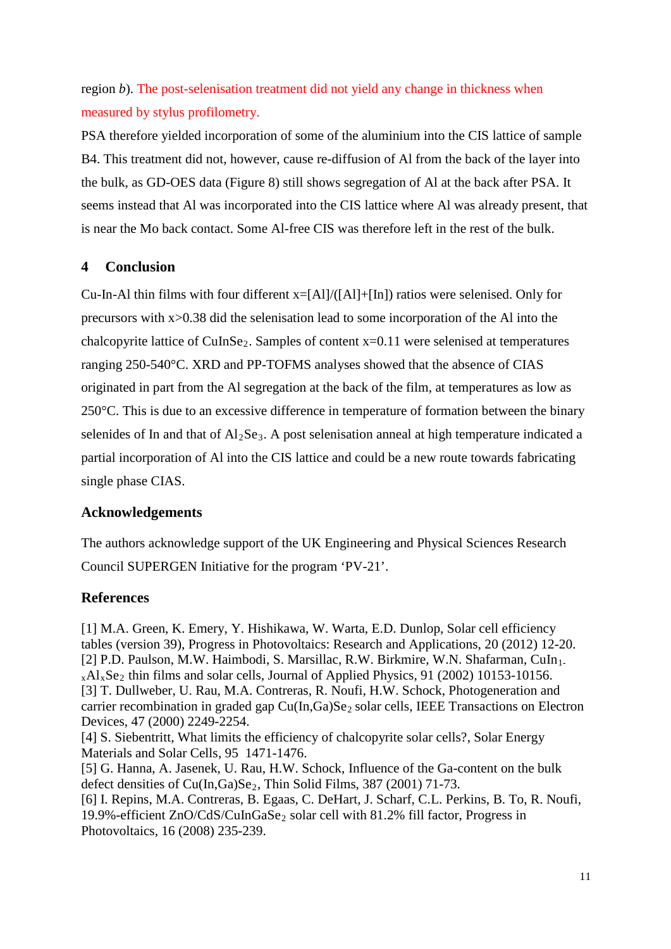region *b*). The post-selenisation treatment did not yield any change in thickness when measured by stylus profilometry.

PSA therefore yielded incorporation of some of the aluminium into the CIS lattice of sample B4. This treatment did not, however, cause re-diffusion of Al from the back of the layer into the bulk, as GD-OES data (Figure 8) still shows segregation of Al at the back after PSA. It seems instead that Al was incorporated into the CIS lattice where Al was already present, that is near the Mo back contact. Some Al-free CIS was therefore left in the rest of the bulk.

# **4 Conclusion**

Cu-In-Al thin films with four different x=[Al]/([Al]+[In]) ratios were selenised. Only for precursors with x>0.38 did the selenisation lead to some incorporation of the Al into the chalcopyrite lattice of CuInSe<sub>2</sub>. Samples of content  $x=0.11$  were selenised at temperatures ranging 250-540°C. XRD and PP-TOFMS analyses showed that the absence of CIAS originated in part from the Al segregation at the back of the film, at temperatures as low as 250°C. This is due to an excessive difference in temperature of formation between the binary selenides of In and that of  $Al<sub>2</sub>Se<sub>3</sub>$ . A post selenisation anneal at high temperature indicated a partial incorporation of Al into the CIS lattice and could be a new route towards fabricating single phase CIAS.

# **Acknowledgements**

The authors acknowledge support of the UK Engineering and Physical Sciences Research Council SUPERGEN Initiative for the program 'PV-21'.

# **References**

[1] M.A. Green, K. Emery, Y. Hishikawa, W. Warta, E.D. Dunlop, Solar cell efficiency tables (version 39), Progress in Photovoltaics: Research and Applications, 20 (2012) 12-20. [2] P.D. Paulson, M.W. Haimbodi, S. Marsillac, R.W. Birkmire, W.N. Shafarman, CuIn<sub>1-</sub>  $_{x}Al_{x}Se_{2}$  thin films and solar cells, Journal of Applied Physics, 91 (2002) 10153-10156. [3] T. Dullweber, U. Rau, M.A. Contreras, R. Noufi, H.W. Schock, Photogeneration and carrier recombination in graded gap  $Cu(In,Ga)Se<sub>2</sub> solar cells$ , IEEE Transactions on Electron Devices, 47 (2000) 2249-2254. [4] S. Siebentritt, What limits the efficiency of chalcopyrite solar cells?, Solar Energy Materials and Solar Cells, 95 1471-1476. [5] G. Hanna, A. Jasenek, U. Rau, H.W. Schock, Influence of the Ga-content on the bulk defect densities of  $Cu(In,Ga)Se_2$ , Thin Solid Films, 387 (2001) 71-73.

[6] I. Repins, M.A. Contreras, B. Egaas, C. DeHart, J. Scharf, C.L. Perkins, B. To, R. Noufi, 19.9%-efficient ZnO/CdS/CuInGaSe<sub>2</sub> solar cell with 81.2% fill factor, Progress in Photovoltaics, 16 (2008) 235-239.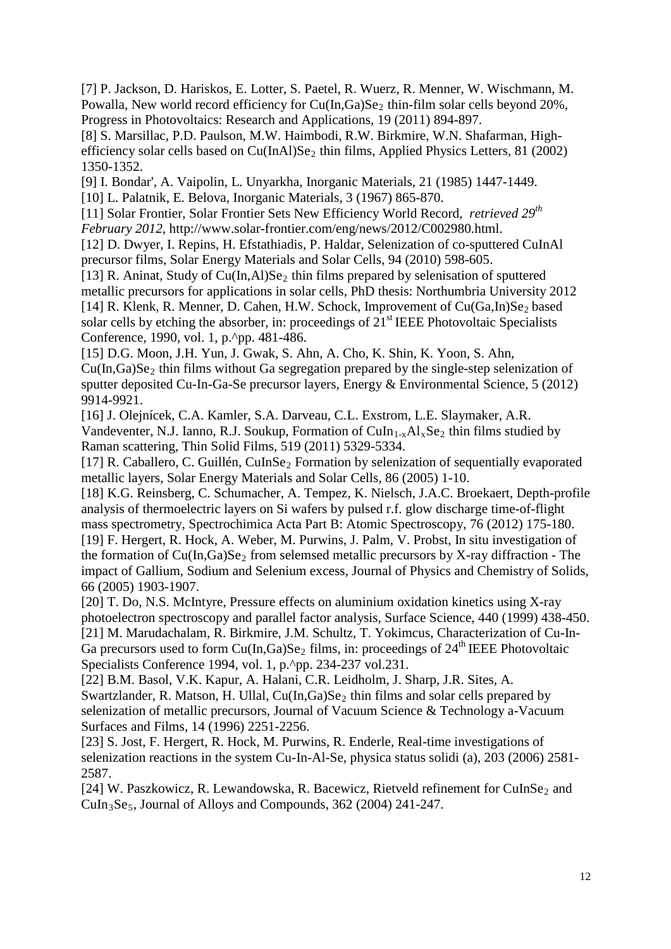[7] P. Jackson, D. Hariskos, E. Lotter, S. Paetel, R. Wuerz, R. Menner, W. Wischmann, M. Powalla, New world record efficiency for  $Cu(In,Ga)Se<sub>2</sub>$  thin-film solar cells beyond 20%, Progress in Photovoltaics: Research and Applications, 19 (2011) 894-897.

[8] S. Marsillac, P.D. Paulson, M.W. Haimbodi, R.W. Birkmire, W.N. Shafarman, Highefficiency solar cells based on Cu(InAl)Se<sub>2</sub> thin films, Applied Physics Letters, 81 (2002) 1350-1352.

[9] I. Bondar', A. Vaipolin, L. Unyarkha, Inorganic Materials, 21 (1985) 1447-1449. [10] L. Palatnik, E. Belova, Inorganic Materials, 3 (1967) 865-870.

[11] Solar Frontier, Solar Frontier Sets New Efficiency World Record, *retrieved 29th February 2012*, http://www.solar-frontier.com/eng/news/2012/C002980.html.

[12] D. Dwyer, I. Repins, H. Efstathiadis, P. Haldar, Selenization of co-sputtered CuInAl precursor films, Solar Energy Materials and Solar Cells, 94 (2010) 598-605.

[13] R. Aninat, Study of  $Cu(In,A)Se<sub>2</sub>$  thin films prepared by selenisation of sputtered metallic precursors for applications in solar cells, PhD thesis: Northumbria University 2012 [14] R. Klenk, R. Menner, D. Cahen, H.W. Schock, Improvement of  $Cu(Ga, In)Se<sub>2</sub>$  based solar cells by etching the absorber, in: proceedings of  $21<sup>st</sup> IEEE Photovoltaic$  Specialists Conference, 1990, vol. 1, p.^pp. 481-486.

[15] D.G. Moon, J.H. Yun, J. Gwak, S. Ahn, A. Cho, K. Shin, K. Yoon, S. Ahn,  $Cu(In,Ga)Se<sub>2</sub>$  thin films without Ga segregation prepared by the single-step selenization of sputter deposited Cu-In-Ga-Se precursor layers, Energy & Environmental Science, 5 (2012) 9914-9921.

[16] J. Olejnícek, C.A. Kamler, S.A. Darveau, C.L. Exstrom, L.E. Slaymaker, A.R. Vandeventer, N.J. Ianno, R.J. Soukup, Formation of  $CuIn_{1-x}Al_xSe_2$  thin films studied by Raman scattering, Thin Solid Films, 519 (2011) 5329-5334.

[17] R. Caballero, C. Guillén, CuInSe<sub>2</sub> Formation by selenization of sequentially evaporated metallic layers, Solar Energy Materials and Solar Cells, 86 (2005) 1-10.

[18] K.G. Reinsberg, C. Schumacher, A. Tempez, K. Nielsch, J.A.C. Broekaert, Depth-profile analysis of thermoelectric layers on Si wafers by pulsed r.f. glow discharge time-of-flight mass spectrometry, Spectrochimica Acta Part B: Atomic Spectroscopy, 76 (2012) 175-180. [19] F. Hergert, R. Hock, A. Weber, M. Purwins, J. Palm, V. Probst, In situ investigation of the formation of  $Cu(In,Ga)Se<sub>2</sub>$  from selemsed metallic precursors by X-ray diffraction - The impact of Gallium, Sodium and Selenium excess, Journal of Physics and Chemistry of Solids, 66 (2005) 1903-1907.

[20] T. Do, N.S. McIntyre, Pressure effects on aluminium oxidation kinetics using X-ray photoelectron spectroscopy and parallel factor analysis, Surface Science, 440 (1999) 438-450. [21] M. Marudachalam, R. Birkmire, J.M. Schultz, T. Yokimcus, Characterization of Cu-In-Ga precursors used to form  $Cu(In,Ga)Se<sub>2</sub>$  films, in: proceedings of  $24<sup>th</sup> IEEE Photovoltaic$ Specialists Conference 1994, vol. 1, p.^pp. 234-237 vol.231.

[22] B.M. Basol, V.K. Kapur, A. Halani, C.R. Leidholm, J. Sharp, J.R. Sites, A. Swartzlander, R. Matson, H. Ullal,  $Cu(In, Ga)Se<sub>2</sub>$  thin films and solar cells prepared by selenization of metallic precursors, Journal of Vacuum Science & Technology a-Vacuum Surfaces and Films, 14 (1996) 2251-2256.

[23] S. Jost, F. Hergert, R. Hock, M. Purwins, R. Enderle, Real-time investigations of selenization reactions in the system Cu-In-Al-Se, physica status solidi (a), 203 (2006) 2581- 2587.

[24] W. Paszkowicz, R. Lewandowska, R. Bacewicz, Rietveld refinement for CuInSe<sub>2</sub> and  $CuIn<sub>3</sub>Se<sub>5</sub>$ , Journal of Alloys and Compounds, 362 (2004) 241-247.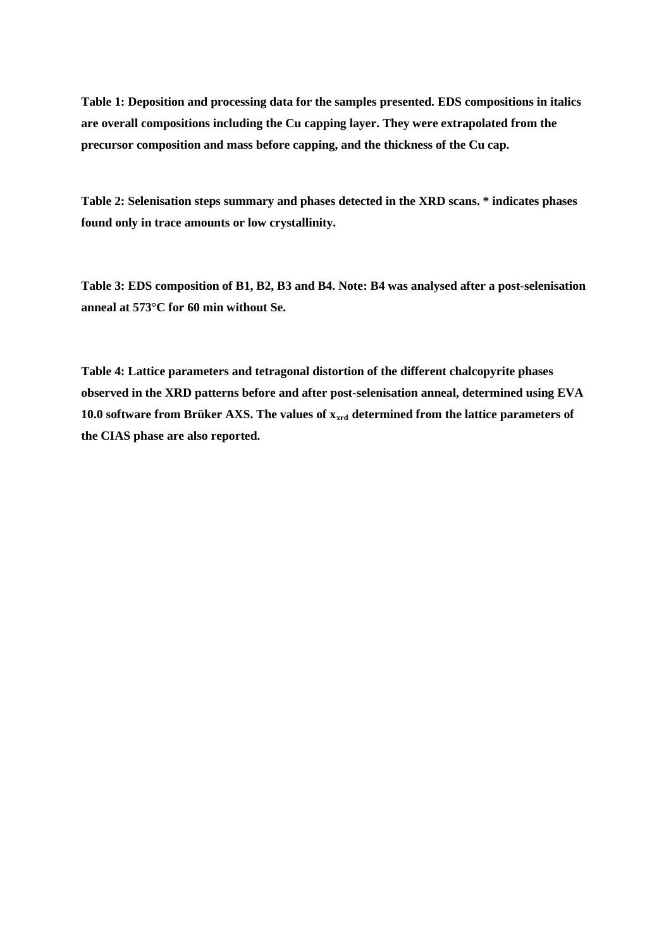**Table 1: Deposition and processing data for the samples presented. EDS compositions in italics are overall compositions including the Cu capping layer. They were extrapolated from the precursor composition and mass before capping, and the thickness of the Cu cap.**

**Table 2: Selenisation steps summary and phases detected in the XRD scans. \* indicates phases found only in trace amounts or low crystallinity.** 

**Table 3: EDS composition of B1, B2, B3 and B4. Note: B4 was analysed after a post-selenisation anneal at 573°C for 60 min without Se.**

**Table 4: Lattice parameters and tetragonal distortion of the different chalcopyrite phases observed in the XRD patterns before and after post-selenisation anneal, determined using EVA**  10.0 software from Brüker AXS. The values of  $x<sub>ard</sub>$  determined from the lattice parameters of **the CIAS phase are also reported.**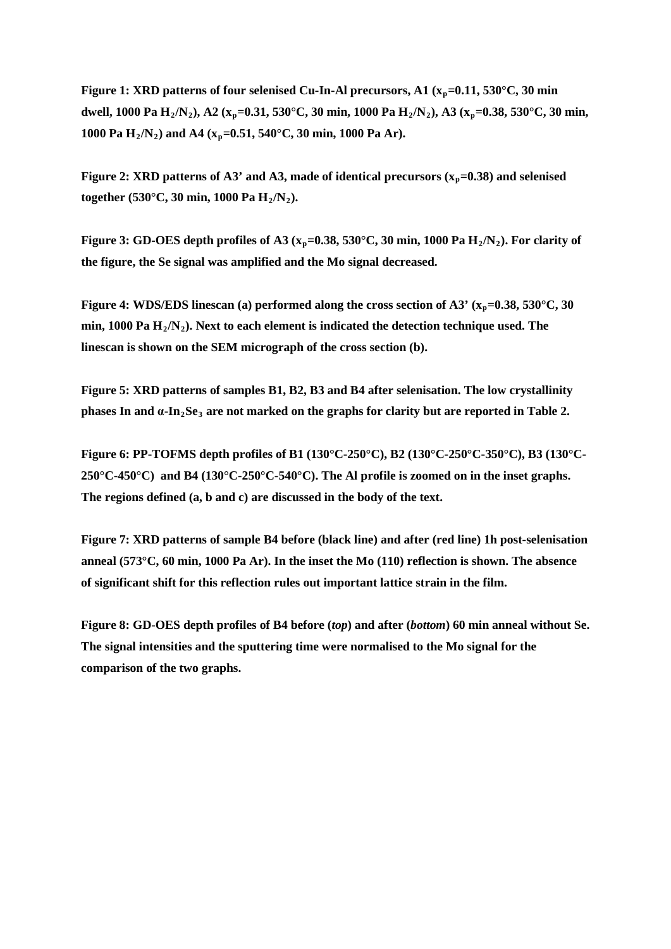**Figure 1: XRD patterns of four selenised Cu-In-Al precursors, A1 (** $x_p$ **=0.11, 530°C, 30 min dwell, 1000 Pa H2/N2), A2 (xp=0.31, 530°C, 30 min, 1000 Pa H2/N2), A3 (xp=0.38, 530°C, 30 min, 1000 Pa H2/N2) and A4 (xp=0.51, 540°C, 30 min, 1000 Pa Ar).** 

**Figure 2: XRD patterns of A3' and A3, made of identical precursors**  $(x_p=0.38)$  **and selenised together (530°C, 30 min, 1000 Pa H2/N2).**

**Figure 3: GD-OES depth profiles of A3 (** $x_p$ **=0.38, 530°C, 30 min, 1000 Pa**  $H_2/N_2$ **). For clarity of the figure, the Se signal was amplified and the Mo signal decreased.** 

**Figure 4: WDS/EDS linescan (a) performed along the cross section of A3' (xp=0.38, 530°C, 30 min, 1000 Pa H2/N2). Next to each element is indicated the detection technique used. The linescan is shown on the SEM micrograph of the cross section (b).**

**Figure 5: XRD patterns of samples B1, B2, B3 and B4 after selenisation. The low crystallinity phases In and α-In2Se<sup>3</sup> are not marked on the graphs for clarity but are reported in Table 2.** 

**Figure 6: PP-TOFMS depth profiles of B1 (130°C-250°C), B2 (130°C-250°C-350°C), B3 (130°C-250°C-450°C) and B4 (130°C-250°C-540°C). The Al profile is zoomed on in the inset graphs. The regions defined (a, b and c) are discussed in the body of the text.** 

**Figure 7: XRD patterns of sample B4 before (black line) and after (red line) 1h post-selenisation anneal (573°C, 60 min, 1000 Pa Ar). In the inset the Mo (110) reflection is shown. The absence of significant shift for this reflection rules out important lattice strain in the film.** 

**Figure 8: GD-OES depth profiles of B4 before (***top***) and after (***bottom***) 60 min anneal without Se. The signal intensities and the sputtering time were normalised to the Mo signal for the comparison of the two graphs.**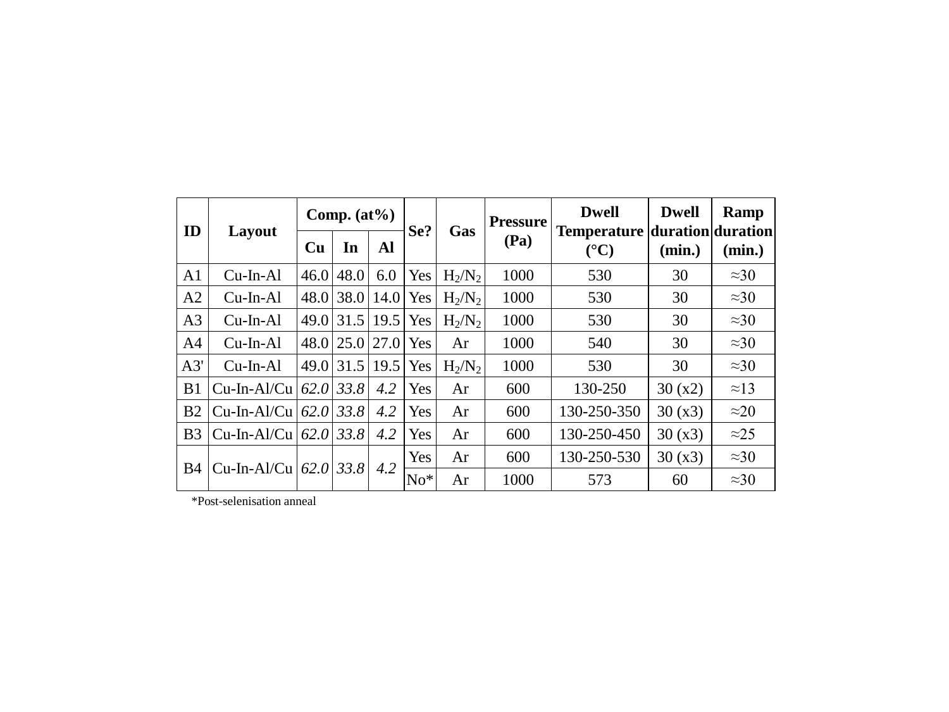| ID             | Layout            | Comp. $(at\%)$ |             |      | Se?   | Gas       | <b>Pressure</b> | <b>Dwell</b>                                           | <b>Dwell</b> | Ramp         |
|----------------|-------------------|----------------|-------------|------|-------|-----------|-----------------|--------------------------------------------------------|--------------|--------------|
|                |                   | Cu             | In          | Al   |       |           | (Pa)            | Temperature duration duration<br>$({}^{\circ}{\bf C})$ | (min.)       | (min.)       |
| A <sub>1</sub> | $Cu$ -In-Al       | 46.0           | 48.0        | 6.0  | Yes   | $H_2/N_2$ | 1000            | 530                                                    | 30           | $\approx 30$ |
| A2             | $Cu$ -In-Al       | 48.0           | 38.0        | 14.0 | Yes   | $H_2/N_2$ | 1000            | 530                                                    | 30           | $\approx 30$ |
| A <sub>3</sub> | $Cu$ -In-Al       | 49.0           | 31.5        | 19.5 | Yes   | $H_2/N_2$ | 1000            | 530                                                    | 30           | $\approx 30$ |
| A <sub>4</sub> | $Cu$ -In-Al       | 48.0           | 25.0        | 27.0 | Yes   | Ar        | 1000            | 540                                                    | 30           | $\approx 30$ |
| A3'            | $Cu$ -In-Al       | 49.0           | 31.5        | 19.5 | Yes   | $H_2/N_2$ | 1000            | 530                                                    | 30           | $\approx 30$ |
| B1             | Cu-In-Al/Cu       | 62.0           | 33.8        | 4.2  | Yes   | Ar        | 600             | 130-250                                                | 30(x2)       | $\approx$ 13 |
| B <sub>2</sub> | $Cu$ -In-Al/ $Cu$ | 62.0           | 33.8        | 4.2  | Yes   | Ar        | 600             | 130-250-350                                            | 30(x3)       | $\approx$ 20 |
| B <sub>3</sub> | $Cu$ -In-Al/ $Cu$ |                | $62.0$ 33.8 | 4.2  | Yes   | Ar        | 600             | 130-250-450                                            | 30(x3)       | $\approx$ 25 |
|                | $Cu$ -In-Al/Cu    |                | $62.0$ 33.8 |      | Yes   | Ar        | 600             | 130-250-530                                            | 30(x3)       | $\approx 30$ |
| <b>B</b> 4     |                   |                |             | 4.2  | $No*$ | Ar        | 1000            | 573                                                    | 60           | $\approx 30$ |

\*Post-selenisation anneal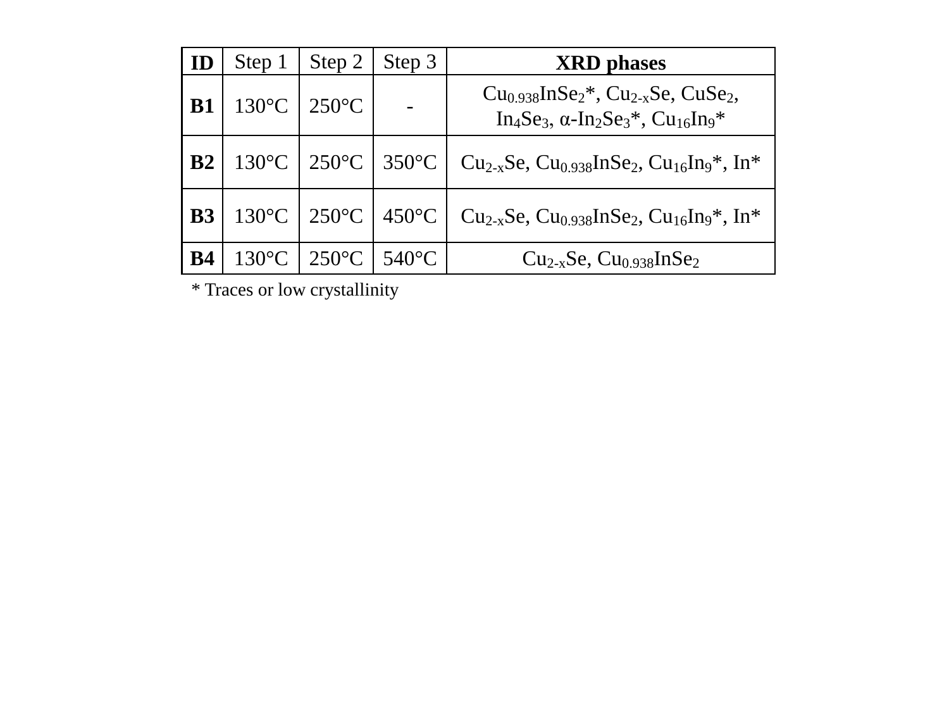|           | Step 1 | Step 2                                                    | Step 3 | <b>XRD</b> phases                                                                                                |
|-----------|--------|-----------------------------------------------------------|--------|------------------------------------------------------------------------------------------------------------------|
| <b>B1</b> |        | $130^{\circ}C$   $250^{\circ}C$                           |        | $Cu0.938InSe2*, Cu2-xSe, CuSe2,$<br>$In_4Se_3$ , $\alpha$ - $In_2Se_3$ <sup>*</sup> , $Cu_{16}In_9$ <sup>*</sup> |
| B2        |        | 130 °C   250 °C   350 °C                                  |        | Cu <sub>2-x</sub> Se, Cu <sub>0.938</sub> InSe <sub>2</sub> , Cu <sub>16</sub> In <sub>9</sub> *, In*            |
| <b>B3</b> |        | $130^{\circ}$ C   250 $^{\circ}$ C   450 $^{\circ}$ C     |        | Cu <sub>2-x</sub> Se, Cu <sub>0.938</sub> InSe <sub>2</sub> , Cu <sub>16</sub> In <sub>9</sub> *, In*            |
| <b>B4</b> |        | $130^{\circ}$ C   250 <sup>°</sup> C   540 <sup>°</sup> C |        | $Cu_{2-x}Se$ , $Cu_{0.938}InSe_2$                                                                                |

\* Traces or low crystallinity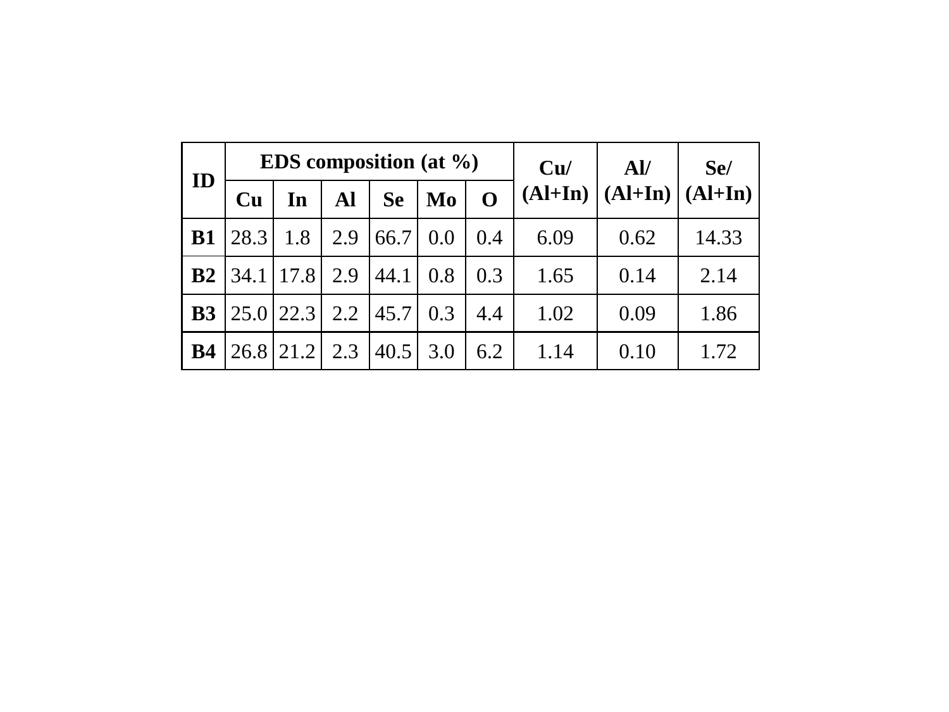| ID        |      | <b>EDS</b> composition (at $\%$ ) |     |           | Cu/ | $\mathbf{A}$ | Se/       |           |           |
|-----------|------|-----------------------------------|-----|-----------|-----|--------------|-----------|-----------|-----------|
|           | Cu   | In                                | Al  | <b>Se</b> | Mo  | $\Omega$     | $(AI+In)$ | $(Al+In)$ | $(Al+In)$ |
| <b>B1</b> | 28.3 | 1.8                               | 2.9 | 66.7      | 0.0 | 0.4          | 6.09      | 0.62      | 14.33     |
| B2        |      | 34.1 17.8                         | 2.9 | 44.1      | 0.8 | 0.3          | 1.65      | 0.14      | 2.14      |
| <b>B3</b> |      | $25.0$   22.3                     | 2.2 | 45.7      | 0.3 | 4.4          | 1.02      | 0.09      | 1.86      |
| <b>B4</b> |      | $26.8$   21.2                     | 2.3 | 40.5      | 3.0 | 6.2          | 1.14      | 0.10      | 1.72      |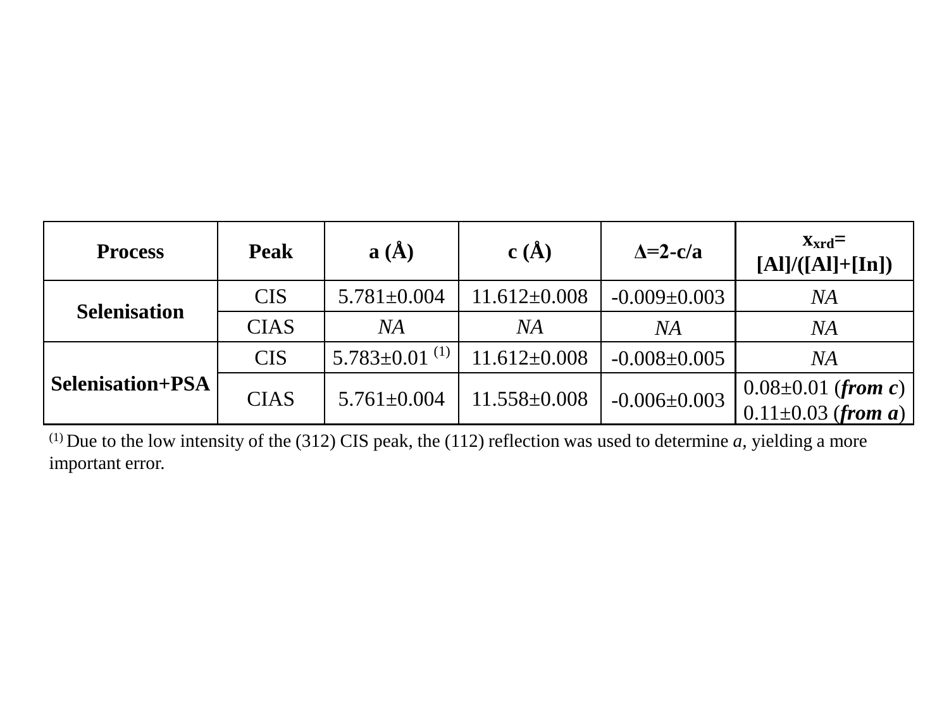| <b>Process</b>          | <b>Peak</b> | $a(\AA)$               | c(A)               | $\Delta = 2 - c/a$ | $X_{\rm xrd}$ =<br>$[A]/([Al]+[In])$ |  |
|-------------------------|-------------|------------------------|--------------------|--------------------|--------------------------------------|--|
| <b>Selenisation</b>     | <b>CIS</b>  | $5.781 \pm 0.004$      | $11.612 \pm 0.008$ | $-0.009 \pm 0.003$ | <b>NA</b>                            |  |
|                         | <b>CIAS</b> | NA                     | NA                 | NA<br>NA           |                                      |  |
|                         | <b>CIS</b>  | $5.783 \pm 0.01^{(1)}$ | $11.612 \pm 0.008$ | $-0.008 \pm 0.005$ | <b>NA</b>                            |  |
| <b>Selenisation+PSA</b> | <b>CIAS</b> | $5.761 \pm 0.004$      | $11.558 \pm 0.008$ | $-0.006 \pm 0.003$ | $0.08 \pm 0.01$ (from c)             |  |
|                         |             |                        |                    |                    | $0.11 \pm 0.03$ (from a)             |  |

(1) Due to the low intensity of the (312) CIS peak, the (112) reflection was used to determine *a*, yielding a more important error.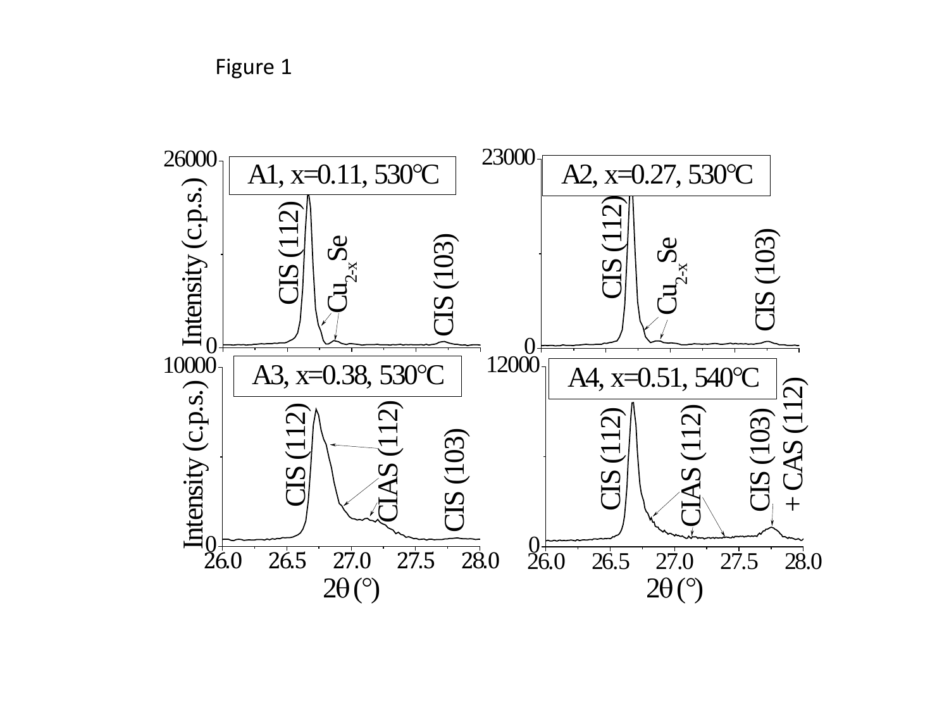Figure 1

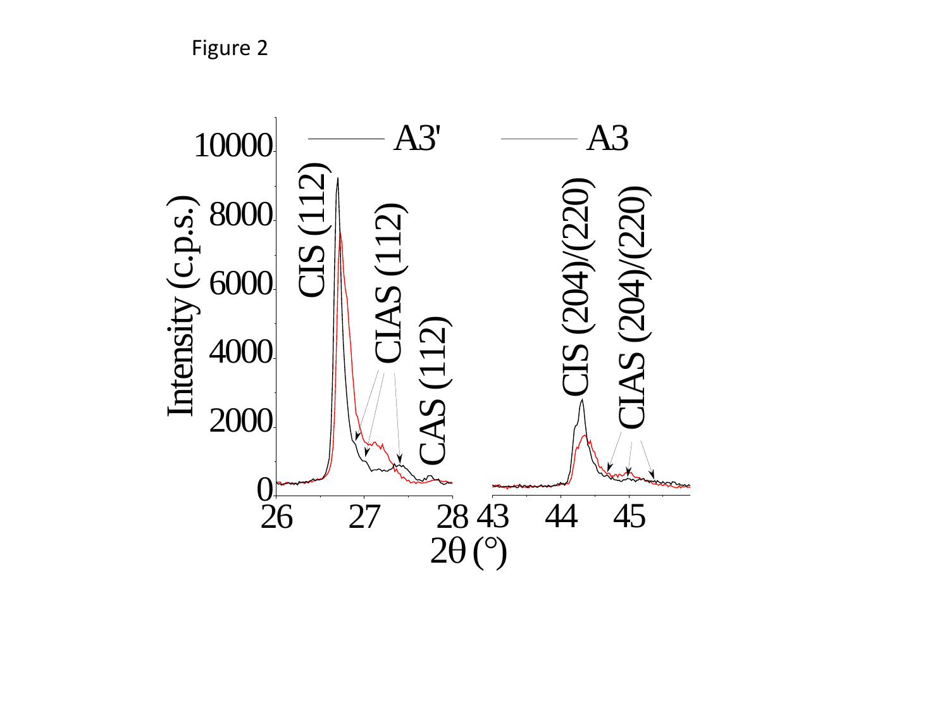Figure 2

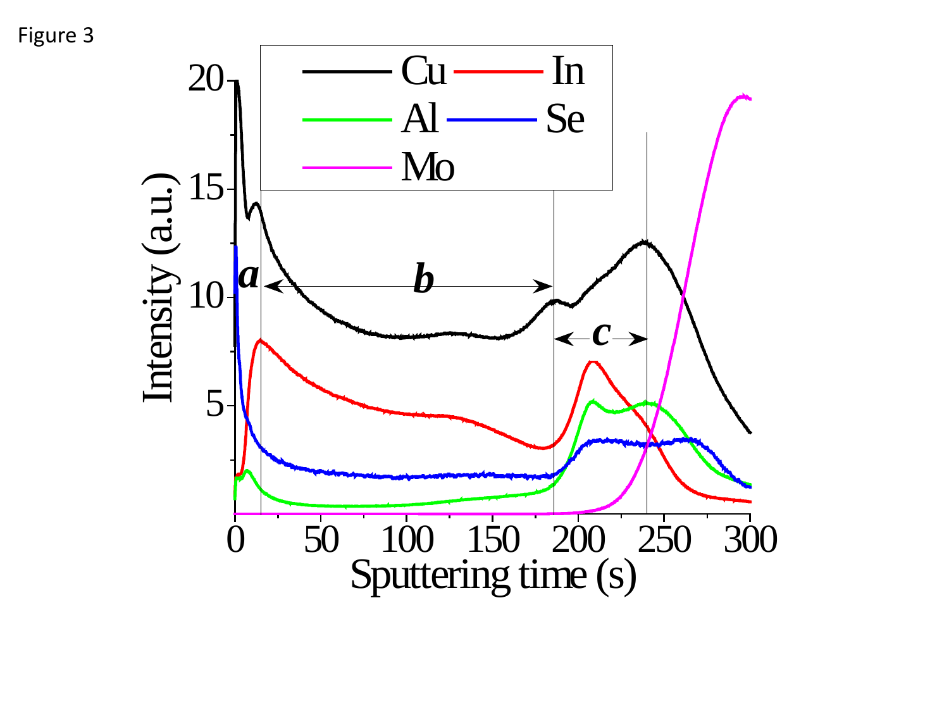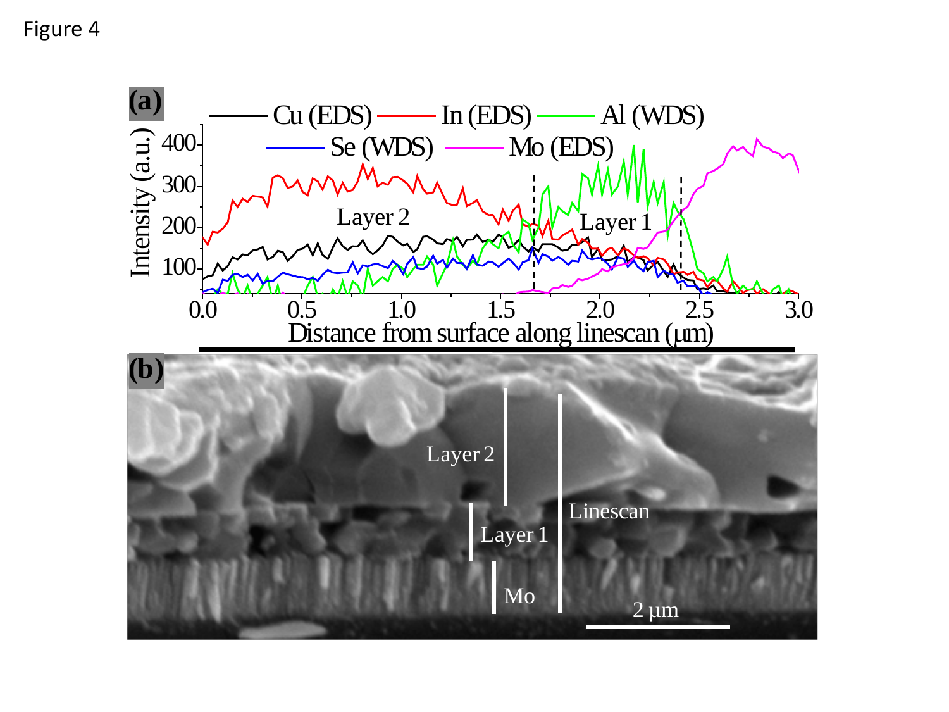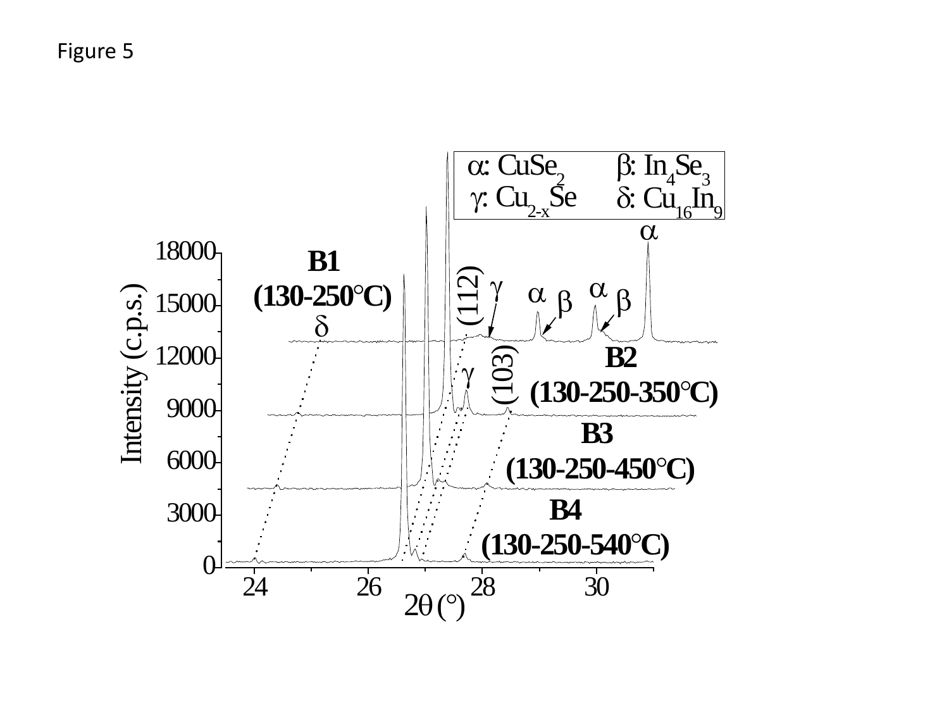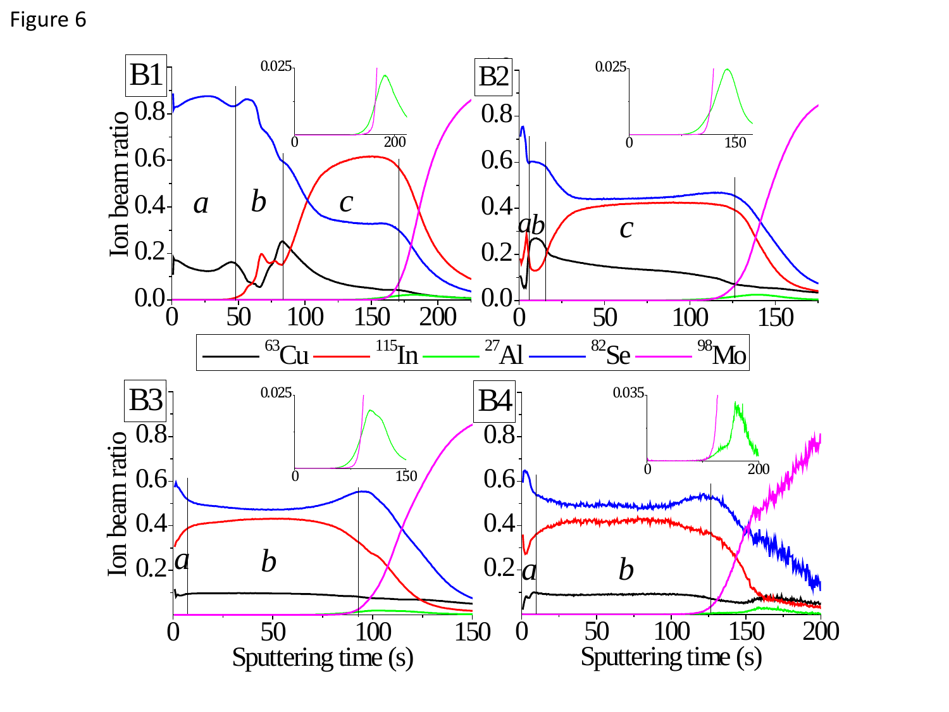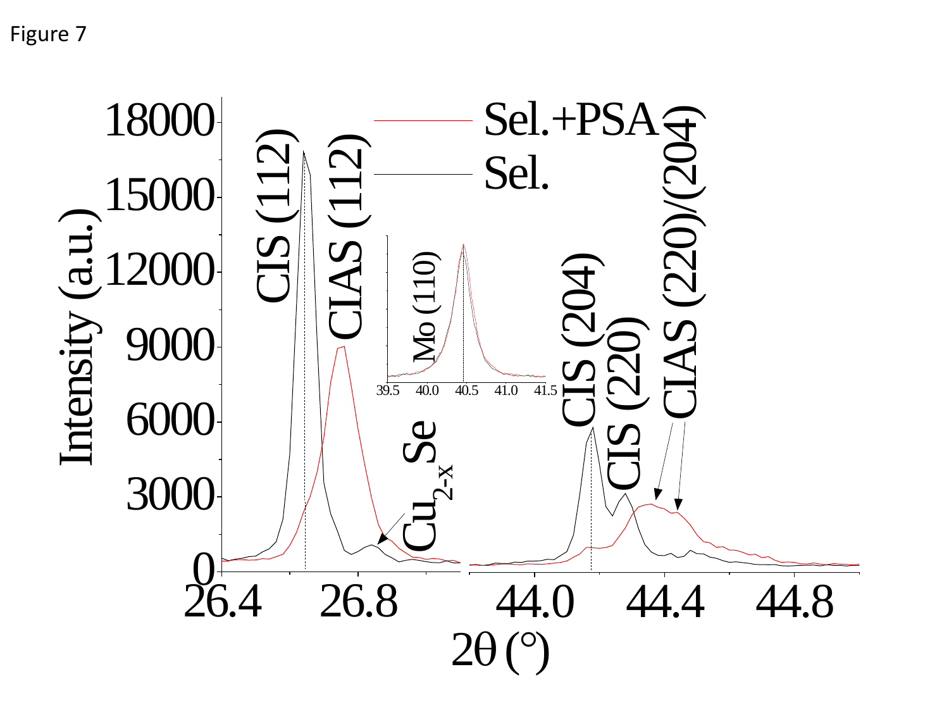